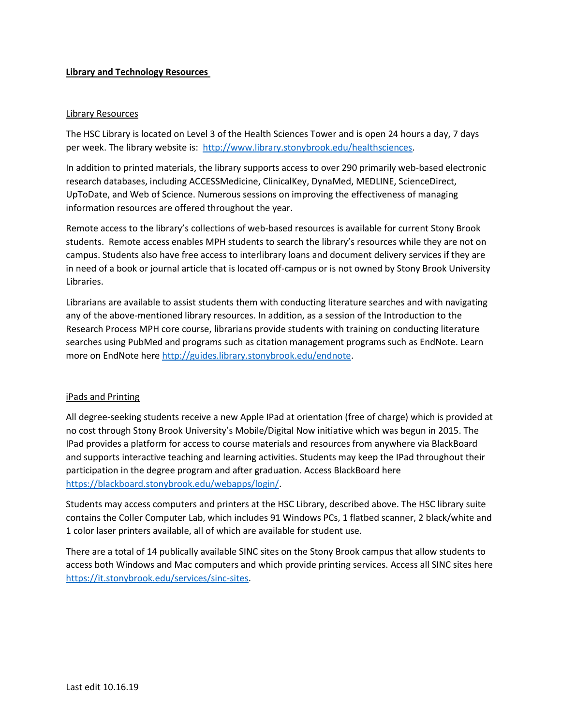# **Library and Technology Resources**

### Library Resources

The HSC Library is located on Level 3 of the Health Sciences Tower and is open 24 hours a day, 7 days per week. The library website is: [http://www.library.stonybrook.edu/healthsciences.](http://www.library.stonybrook.edu/healthsciences)

In addition to printed materials, the library supports access to over 290 primarily web-based electronic research databases, including ACCESSMedicine, ClinicalKey, DynaMed, MEDLINE, ScienceDirect, UpToDate, and Web of Science. Numerous sessions on improving the effectiveness of managing information resources are offered throughout the year.

Remote access to the library's collections of web-based resources is available for current Stony Brook students. Remote access enables MPH students to search the library's resources while they are not on campus. Students also have free access to interlibrary loans and document delivery services if they are in need of a book or journal article that is located off-campus or is not owned by Stony Brook University Libraries.

Librarians are available to assist students them with conducting literature searches and with navigating any of the above-mentioned library resources. In addition, as a session of the Introduction to the Research Process MPH core course, librarians provide students with training on conducting literature searches using PubMed and programs such as citation management programs such as EndNote. Learn more on EndNote here [http://guides.library.stonybrook.edu/endnote.](http://guides.library.stonybrook.edu/endnote)

#### iPads and Printing

All degree-seeking students receive a new Apple IPad at orientation (free of charge) which is provided at no cost through Stony Brook University's Mobile/Digital Now initiative which was begun in 2015. The IPad provides a platform for access to course materials and resources from anywhere via BlackBoard and supports interactive teaching and learning activities. Students may keep the IPad throughout their participation in the degree program and after graduation. Access BlackBoard here [https://blackboard.stonybrook.edu/webapps/login/.](https://blackboard.stonybrook.edu/webapps/login/)

Students may access computers and printers at the HSC Library, described above. The HSC library suite contains the Coller Computer Lab, which includes 91 Windows PCs, 1 flatbed scanner, 2 black/white and 1 color laser printers available, all of which are available for student use.

There are a total of 14 publically available SINC sites on the Stony Brook campus that allow students to access both Windows and Mac computers and which provide printing services. Access all SINC sites here [https://it.stonybrook.edu/services/sinc-sites.](https://it.stonybrook.edu/services/sinc-sites)